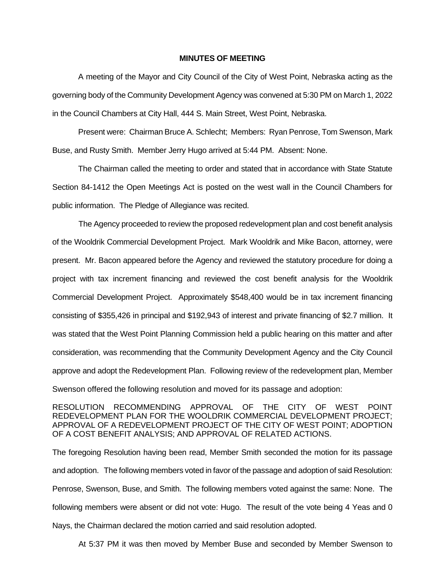## **MINUTES OF MEETING**

A meeting of the Mayor and City Council of the City of West Point, Nebraska acting as the governing body of the Community Development Agency was convened at 5:30 PM on March 1, 2022 in the Council Chambers at City Hall, 444 S. Main Street, West Point, Nebraska.

Present were: Chairman Bruce A. Schlecht; Members: Ryan Penrose, Tom Swenson, Mark Buse, and Rusty Smith. Member Jerry Hugo arrived at 5:44 PM. Absent: None.

The Chairman called the meeting to order and stated that in accordance with State Statute Section 84-1412 the Open Meetings Act is posted on the west wall in the Council Chambers for public information. The Pledge of Allegiance was recited.

The Agency proceeded to review the proposed redevelopment plan and cost benefit analysis of the Wooldrik Commercial Development Project. Mark Wooldrik and Mike Bacon, attorney, were present. Mr. Bacon appeared before the Agency and reviewed the statutory procedure for doing a project with tax increment financing and reviewed the cost benefit analysis for the Wooldrik Commercial Development Project. Approximately \$548,400 would be in tax increment financing consisting of \$355,426 in principal and \$192,943 of interest and private financing of \$2.7 million. It was stated that the West Point Planning Commission held a public hearing on this matter and after consideration, was recommending that the Community Development Agency and the City Council approve and adopt the Redevelopment Plan. Following review of the redevelopment plan, Member Swenson offered the following resolution and moved for its passage and adoption:

RESOLUTION RECOMMENDING APPROVAL OF THE CITY OF WEST POINT REDEVELOPMENT PLAN FOR THE WOOLDRIK COMMERCIAL DEVELOPMENT PROJECT; APPROVAL OF A REDEVELOPMENT PROJECT OF THE CITY OF WEST POINT; ADOPTION OF A COST BENEFIT ANALYSIS; AND APPROVAL OF RELATED ACTIONS.

The foregoing Resolution having been read, Member Smith seconded the motion for its passage and adoption. The following members voted in favor of the passage and adoption of said Resolution: Penrose, Swenson, Buse, and Smith. The following members voted against the same: None. The following members were absent or did not vote: Hugo. The result of the vote being 4 Yeas and 0 Nays, the Chairman declared the motion carried and said resolution adopted.

At 5:37 PM it was then moved by Member Buse and seconded by Member Swenson to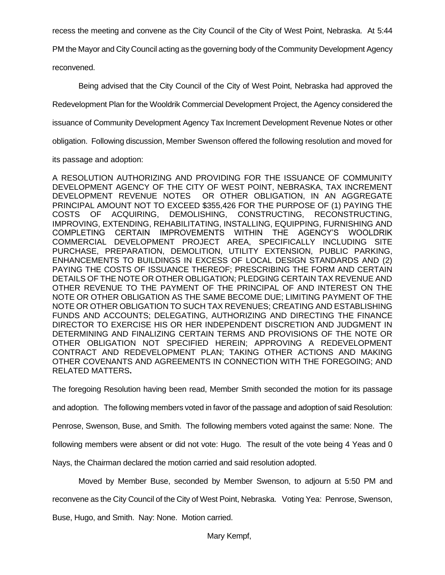recess the meeting and convene as the City Council of the City of West Point, Nebraska. At 5:44

PM the Mayor and City Council acting as the governing body of the Community Development Agency

reconvened.

Being advised that the City Council of the City of West Point, Nebraska had approved the

Redevelopment Plan for the Wooldrik Commercial Development Project, the Agency considered the

issuance of Community Development Agency Tax Increment Development Revenue Notes or other

obligation. Following discussion, Member Swenson offered the following resolution and moved for

its passage and adoption:

A RESOLUTION AUTHORIZING AND PROVIDING FOR THE ISSUANCE OF COMMUNITY DEVELOPMENT AGENCY OF THE CITY OF WEST POINT, NEBRASKA, TAX INCREMENT DEVELOPMENT REVENUE NOTES OR OTHER OBLIGATION, IN AN AGGREGATE PRINCIPAL AMOUNT NOT TO EXCEED \$355,426 FOR THE PURPOSE OF (1) PAYING THE COSTS OF ACQUIRING, DEMOLISHING, CONSTRUCTING, RECONSTRUCTING, IMPROVING, EXTENDING, REHABILITATING, INSTALLING, EQUIPPING, FURNISHING AND COMPLETING CERTAIN IMPROVEMENTS WITHIN THE AGENCY'S WOOLDRIK COMMERCIAL DEVELOPMENT PROJECT AREA, SPECIFICALLY INCLUDING SITE PURCHASE, PREPARATION, DEMOLITION, UTILITY EXTENSION, PUBLIC PARKING, ENHANCEMENTS TO BUILDINGS IN EXCESS OF LOCAL DESIGN STANDARDS AND (2) PAYING THE COSTS OF ISSUANCE THEREOF; PRESCRIBING THE FORM AND CERTAIN DETAILS OF THE NOTE OR OTHER OBLIGATION; PLEDGING CERTAIN TAX REVENUE AND OTHER REVENUE TO THE PAYMENT OF THE PRINCIPAL OF AND INTEREST ON THE NOTE OR OTHER OBLIGATION AS THE SAME BECOME DUE; LIMITING PAYMENT OF THE NOTE OR OTHER OBLIGATION TO SUCH TAX REVENUES; CREATING AND ESTABLISHING FUNDS AND ACCOUNTS; DELEGATING, AUTHORIZING AND DIRECTING THE FINANCE DIRECTOR TO EXERCISE HIS OR HER INDEPENDENT DISCRETION AND JUDGMENT IN DETERMINING AND FINALIZING CERTAIN TERMS AND PROVISIONS OF THE NOTE OR OTHER OBLIGATION NOT SPECIFIED HEREIN; APPROVING A REDEVELOPMENT CONTRACT AND REDEVELOPMENT PLAN; TAKING OTHER ACTIONS AND MAKING OTHER COVENANTS AND AGREEMENTS IN CONNECTION WITH THE FOREGOING; AND RELATED MATTERS**.**

The foregoing Resolution having been read, Member Smith seconded the motion for its passage

and adoption. The following members voted in favor of the passage and adoption of said Resolution:

Penrose, Swenson, Buse, and Smith. The following members voted against the same: None. The

following members were absent or did not vote: Hugo. The result of the vote being 4 Yeas and 0

Nays, the Chairman declared the motion carried and said resolution adopted.

Moved by Member Buse, seconded by Member Swenson, to adjourn at 5:50 PM and

reconvene as the City Council of the City of West Point, Nebraska. Voting Yea: Penrose, Swenson,

Buse, Hugo, and Smith. Nay: None. Motion carried.